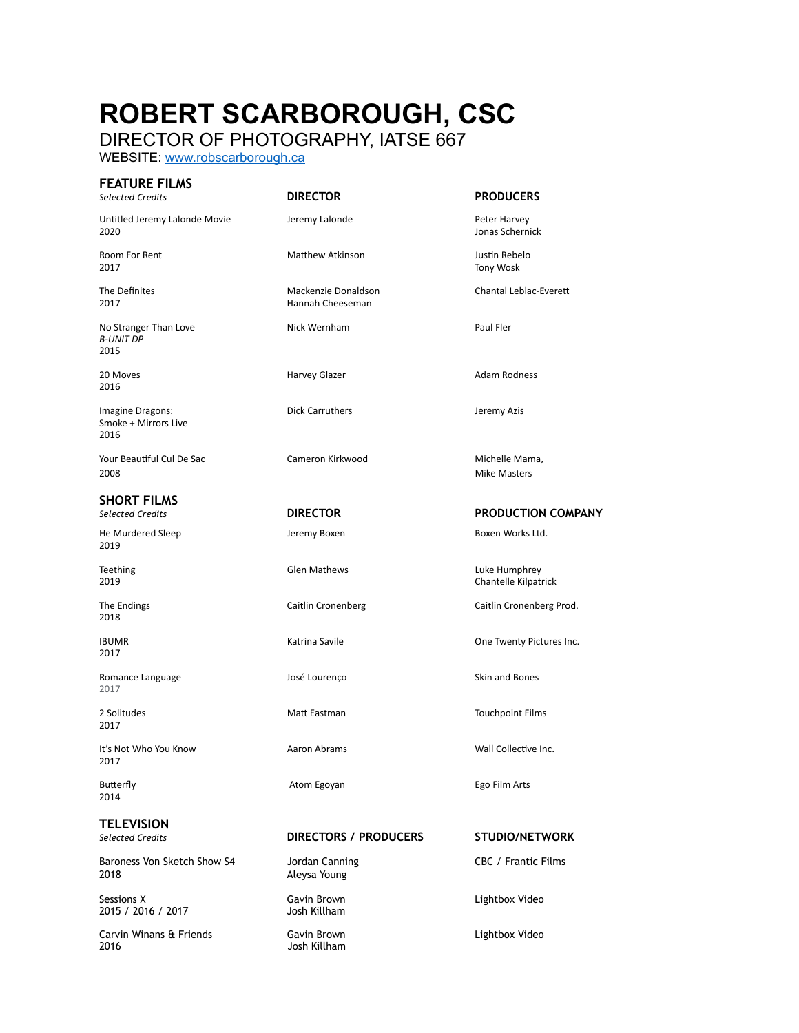## **ROBERT SCARBOROUGH, CSC**

DIRECTOR OF PHOTOGRAPHY, IATSE 667

WEBSITE: [www.robscarborough.ca](http://www.robscarborough.ca)

| <b>FEATURE FILMS</b><br><b>Selected Credits</b>   | <b>DIRECTOR</b>                         | <b>PRODUCERS</b>                      |
|---------------------------------------------------|-----------------------------------------|---------------------------------------|
| Untitled Jeremy Lalonde Movie<br>2020             | Jeremy Lalonde                          | Peter Harvey<br>Jonas Schernick       |
| Room For Rent<br>2017                             | <b>Matthew Atkinson</b>                 | Justin Rebelo<br><b>Tony Wosk</b>     |
| The Definites<br>2017                             | Mackenzie Donaldson<br>Hannah Cheeseman | Chantal Leblac-Everett                |
| No Stranger Than Love<br><b>B-UNIT DP</b><br>2015 | Nick Wernham                            | Paul Fler                             |
| 20 Moves<br>2016                                  | Harvey Glazer                           | <b>Adam Rodness</b>                   |
| Imagine Dragons:<br>Smoke + Mirrors Live<br>2016  | <b>Dick Carruthers</b>                  | Jeremy Azis                           |
| Your Beautiful Cul De Sac<br>2008                 | Cameron Kirkwood                        | Michelle Mama,<br><b>Mike Masters</b> |
| <b>SHORT FILMS</b><br><b>Selected Credits</b>     | <b>DIRECTOR</b>                         | <b>PRODUCTION COMP</b>                |
| He Murdered Sleep<br>2019                         | Jeremy Boxen                            | Boxen Works Ltd.                      |
| Teething<br>2019                                  | <b>Glen Mathews</b>                     | Luke Humphrey<br>Chantelle Kilpatrick |
| The Endings<br>2018                               | Caitlin Cronenberg                      | Caitlin Cronenberg Prod.              |
| <b>IBUMR</b><br>2017                              | Katrina Savile                          | One Twenty Pictures Inc.              |
| Romance Language<br>2017                          | José Lourenço                           | Skin and Bones                        |
| 2 Solitudes<br>2017                               | Matt Eastman                            | <b>Touchpoint Films</b>               |
| It's Not Who You Know<br>2017                     | Aaron Abrams                            | Wall Collective Inc.                  |
| <b>Butterfly</b><br>2014                          | Atom Egoyan                             | Ego Film Arts                         |
|                                                   |                                         |                                       |

## **TELEVISION**

Baroness Von Sketch Show S4 Jordan Canning CBC / Frantic Films 2018 Aleysa Young

Sessions X Gavin Brown Lightbox Video 2015 / 2016 / 2017

Carvin Winans & Friends Gavin Brown Lightbox Video

Josh Killham

**PRODUCTION COMPANY** 

*Selected Credits* **DIRECTORS / PRODUCERS STUDIO/NETWORK**